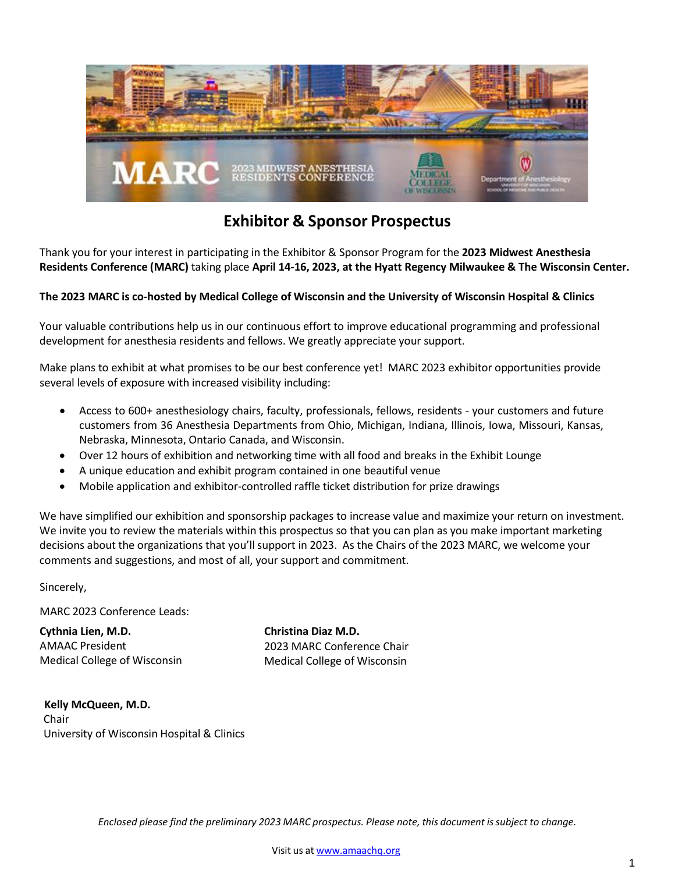

### **Exhibitor & Sponsor Prospectus**

Thank you for your interest in participating in the Exhibitor & Sponsor Program for the **2023 Midwest Anesthesia Residents Conference (MARC)** taking place **April 14-16, 2023, at the Hyatt Regency Milwaukee & The Wisconsin Center.** 

#### **The 2023 MARC is co-hosted by Medical College of Wisconsin and the University of Wisconsin Hospital & Clinics**

Your valuable contributions help us in our continuous effort to improve educational programming and professional development for anesthesia residents and fellows. We greatly appreciate your support.

Make plans to exhibit at what promises to be our best conference yet! MARC 2023 exhibitor opportunities provide several levels of exposure with increased visibility including:

- Access to 600+ anesthesiology chairs, faculty, professionals, fellows, residents your customers and future customers from 36 Anesthesia Departments from Ohio, Michigan, Indiana, Illinois, Iowa, Missouri, Kansas, Nebraska, Minnesota, Ontario Canada, and Wisconsin.
- Over 12 hours of exhibition and networking time with all food and breaks in the Exhibit Lounge
- A unique education and exhibit program contained in one beautiful venue
- Mobile application and exhibitor-controlled raffle ticket distribution for prize drawings

We have simplified our exhibition and sponsorship packages to increase value and maximize your return on investment. We invite you to review the materials within this prospectus so that you can plan as you make important marketing decisions about the organizations that you'll support in 2023. As the Chairs of the 2023 MARC, we welcome your comments and suggestions, and most of all, your support and commitment.

Sincerely,

MARC 2023 Conference Leads:

**Cythnia Lien, M.D.** AMAAC President Medical College of Wisconsin **Christina Diaz M.D.** 2023 MARC Conference Chair Medical College of Wisconsin

**Kelly McQueen, M.D.** Chair University of Wisconsin Hospital & Clinics

*Enclosed please find the preliminary 2023 MARC prospectus. Please note, this document issubject to change.*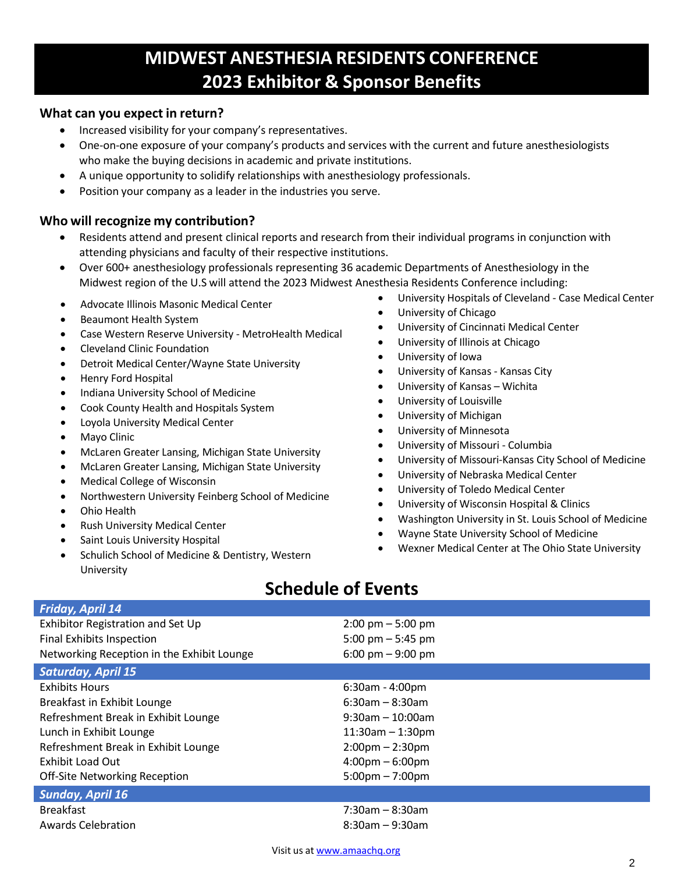# **MIDWEST ANESTHESIA RESIDENTS CONFERENCE 2023 Exhibitor & Sponsor Benefits**

### **What can you expect in return?**

- Increased visibility for your company's representatives.
- One-on-one exposure of your company's products and services with the current and future anesthesiologists who make the buying decisions in academic and private institutions.
- A unique opportunity to solidify relationships with anesthesiology professionals.
- Position your company as a leader in the industries you serve.

### **Who will recognize my contribution?**

- Residents attend and present clinical reports and research from their individual programs in conjunction with attending physicians and faculty of their respective institutions.
- Over 600+ anesthesiology professionals representing 36 academic Departments of Anesthesiology in the Midwest region of the U.S will attend the 2023 Midwest Anesthesia Residents Conference including:
- Advocate Illinois Masonic Medical Center
- Beaumont Health System
- Case Western Reserve University MetroHealth Medical
- Cleveland Clinic Foundation
- Detroit Medical Center/Wayne State University
- Henry Ford Hospital
- Indiana University School of Medicine
- Cook County Health and Hospitals System
- Loyola University Medical Center
- Mayo Clinic
- McLaren Greater Lansing, Michigan State University
- McLaren Greater Lansing, Michigan State University
- Medical College of Wisconsin
- Northwestern University Feinberg School of Medicine
- Ohio Health
- Rush University Medical Center
- Saint Louis University Hospital
- Schulich School of Medicine & Dentistry, Western University
- University Hospitals of Cleveland Case Medical Center
- University of Chicago
- University of Cincinnati Medical Center
- University of Illinois at Chicago
- University of Iowa
- University of Kansas Kansas City
- University of Kansas Wichita
- University of Louisville
- University of Michigan
- University of Minnesota
- University of Missouri Columbia
- University of Missouri-Kansas City School of Medicine
- University of Nebraska Medical Center
- University of Toledo Medical Center
- University of Wisconsin Hospital & Clinics
- Washington University in St. Louis School of Medicine
- Wayne State University School of Medicine
- Wexner Medical Center at The Ohio State University

## **Schedule of Events**

| <b>Friday, April 14</b>                    |                                     |
|--------------------------------------------|-------------------------------------|
| Exhibitor Registration and Set Up          | $2:00 \text{ pm} - 5:00 \text{ pm}$ |
| Final Exhibits Inspection                  | 5:00 pm $-$ 5:45 pm                 |
| Networking Reception in the Exhibit Lounge | 6:00 pm $-$ 9:00 pm                 |
| <b>Saturday, April 15</b>                  |                                     |
| <b>Exhibits Hours</b>                      | $6:30$ am - 4:00pm                  |
| Breakfast in Exhibit Lounge                | $6:30$ am – 8:30am                  |
| Refreshment Break in Exhibit Lounge        | $9:30$ am - 10:00am                 |
| Lunch in Exhibit Lounge                    | $11:30am - 1:30pm$                  |
| Refreshment Break in Exhibit Lounge        | $2:00 \text{pm} - 2:30 \text{pm}$   |
| Exhibit Load Out                           | $4:00 \text{pm} - 6:00 \text{pm}$   |
| <b>Off-Site Networking Reception</b>       | $5:00 \text{pm} - 7:00 \text{pm}$   |
| <b>Sunday, April 16</b>                    |                                     |
| <b>Breakfast</b>                           | $7:30$ am - 8:30am                  |
| Awards Celebration                         | $8:30$ am – 9:30am                  |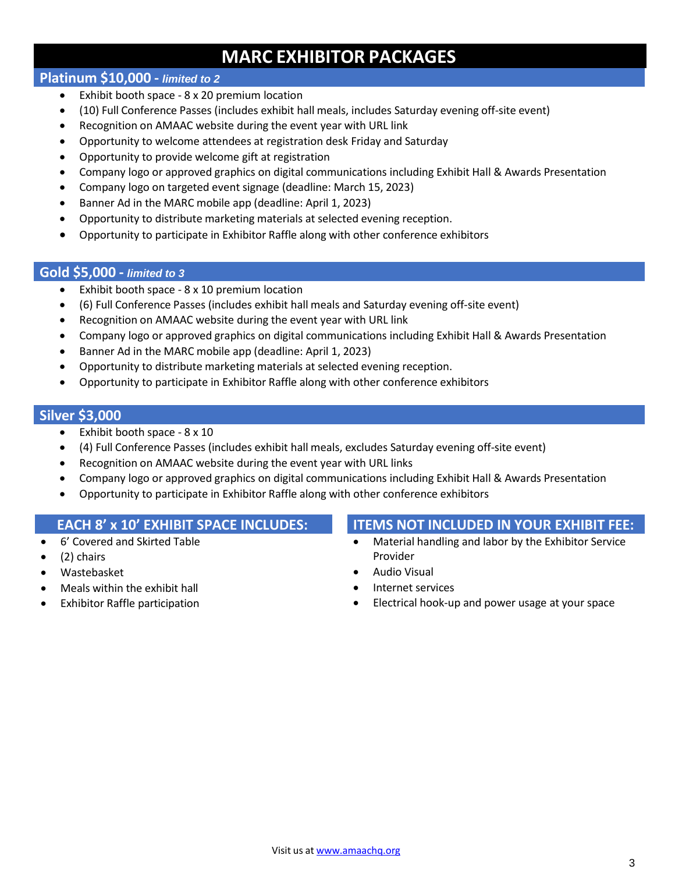# **MARC EXHIBITOR PACKAGES**

### **Platinum \$10,000 -** *limited to 2*

- Exhibit booth space 8 x 20 premium location
- (10) Full Conference Passes (includes exhibit hall meals, includes Saturday evening off-site event)
- Recognition on AMAAC website during the event year with URL link
- Opportunity to welcome attendees at registration desk Friday and Saturday
- Opportunity to provide welcome gift at registration
- Company logo or approved graphics on digital communications including Exhibit Hall & Awards Presentation
- Company logo on targeted event signage (deadline: March 15, 2023)
- Banner Ad in the MARC mobile app (deadline: April 1, 2023)
- Opportunity to distribute marketing materials at selected evening reception.
- Opportunity to participate in Exhibitor Raffle along with other conference exhibitors

### **Gold \$5,000 -** *limited to 3*

- Exhibit booth space 8 x 10 premium location
- (6) Full Conference Passes (includes exhibit hall meals and Saturday evening off-site event)
- Recognition on AMAAC website during the event year with URL link
- Company logo or approved graphics on digital communications including Exhibit Hall & Awards Presentation
- Banner Ad in the MARC mobile app (deadline: April 1, 2023)
- Opportunity to distribute marketing materials at selected evening reception.
- Opportunity to participate in Exhibitor Raffle along with other conference exhibitors

### **Silver \$3,000**

- Exhibit booth space 8 x 10
- (4) Full Conference Passes (includes exhibit hall meals, excludes Saturday evening off-site event)
- Recognition on AMAAC website during the event year with URL links
- Company logo or approved graphics on digital communications including Exhibit Hall & Awards Presentation
- Opportunity to participate in Exhibitor Raffle along with other conference exhibitors

- 6' Covered and Skirted Table
- (2) chairs
- Wastebasket
- Meals within the exhibit hall
- **Exhibitor Raffle participation**

### **EACH 8' x 10' EXHIBIT SPACE INCLUDES: ITEMS NOT INCLUDED IN YOUR EXHIBIT FEE:**

- Material handling and labor by the Exhibitor Service Provider
- Audio Visual
- Internet services
- Electrical hook-up and power usage at your space